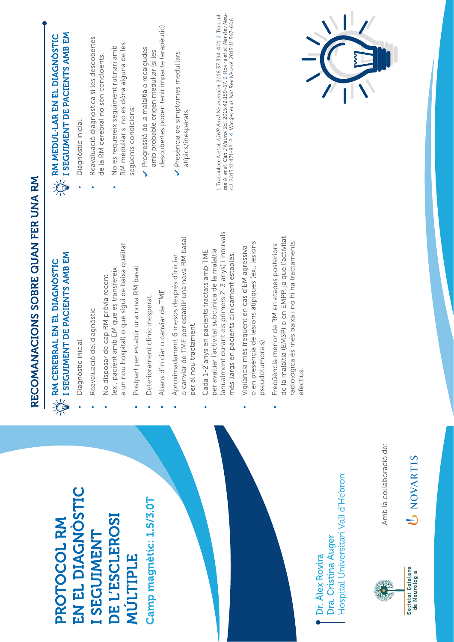|                                                                               | RECOMANACIONS SOBRE QUAN FER UNA RM                                                                                                                                                                    |                                                                                                                                                                                                                                          |
|-------------------------------------------------------------------------------|--------------------------------------------------------------------------------------------------------------------------------------------------------------------------------------------------------|------------------------------------------------------------------------------------------------------------------------------------------------------------------------------------------------------------------------------------------|
| PROTOCOL RM                                                                   | $\frac{1}{2}$ an cerebral en el diagnòstic<br>$\frac{1}{2}$ i seguiment de pacients amb em                                                                                                             | I SEGUIMENT DE PACIENTS AMB EM<br>RM MEDUL-LAR EN EL DIAGNOSTIC<br>$\sum_{i=1}^{n}$                                                                                                                                                      |
| EN EL DIAGNOSTIC                                                              | Diagnòstic inicial.                                                                                                                                                                                    | Diagnòstic inicial.                                                                                                                                                                                                                      |
| I SEGUIMENT                                                                   | Reavaluació del diagnòstic.                                                                                                                                                                            | Reavaluació diagnòstica si les descobertes                                                                                                                                                                                               |
| DE L'ESCLEROSI                                                                | a un nou hospital) o que sigui de baixa qualitat.<br>(ex., pacient amb EM que es transfereix<br>No disposar de cap RM prèvia recent                                                                    | RM medul·lar si no es dóna alguna de les<br>No es requereix seguiment rutinari amb<br>de la RM cerebral no són concloents                                                                                                                |
| MULTIPLE                                                                      | Postpart per establir una nova RM basal.                                                                                                                                                               | següents condicions:                                                                                                                                                                                                                     |
| Camp magnetic: 1.5/3.0T                                                       | Deteriorament clínic inesperat.                                                                                                                                                                        | Progressió de la malaltia o recaigudes<br>amb probable origen medullar (si les                                                                                                                                                           |
|                                                                               | Abans d'iniciar o canviar de TME.                                                                                                                                                                      | descobertes poden tenir impacte terapèutic)                                                                                                                                                                                              |
|                                                                               | o canviar de TME per establir una nova RM basal<br>Aproximadament 6 mesos després d'iniciar<br>per al nou tractament.                                                                                  | Presència de símptomes medul·lars<br>atipics/inesperats                                                                                                                                                                                  |
|                                                                               | (anualment durant els primers 2-3 anys) i intervals<br>per avaluar l'activitat subclinica de la malaltia<br>Cada 1-2 anys en pacients tractats amb TME<br>més llargs en pacients clínicament estables. | 1. Traboulsee A et al. AJNR Am J Neuroradiol. 2016;37:394-401.2. Traboul-<br>see A, et al. Can J Neurol Sci. 2015;42:159-67. 3. Rovira et al. Nat Rev Neu-<br>rol. 2015;11:471-82; 2. 4. Wattjes et al. Nat Rev Neurol. 2015;11:597-606. |
|                                                                               | o en presència de lesions atípiques (ex., lesions<br>Vigilància més freqüent en cas d'EM agressiva<br>pseudotumorals).                                                                                 |                                                                                                                                                                                                                                          |
|                                                                               | EMSP) o en EMPP, ja que l'activitat<br>més baixa i no hi ha tractaments<br>Freqüència menor de RM en etapes posteriors<br>de la malaltia (<br>radiològica és<br>efectius.                              |                                                                                                                                                                                                                                          |
| Hospital Universitari Vall d'Hebron<br>Dra. Cristina Auger<br>Dr. Alex Rovira |                                                                                                                                                                                                        |                                                                                                                                                                                                                                          |
| Amb la col·laboració de:                                                      |                                                                                                                                                                                                        |                                                                                                                                                                                                                                          |

U NOVARTIS

Societat Catalana<br>de Neurologia